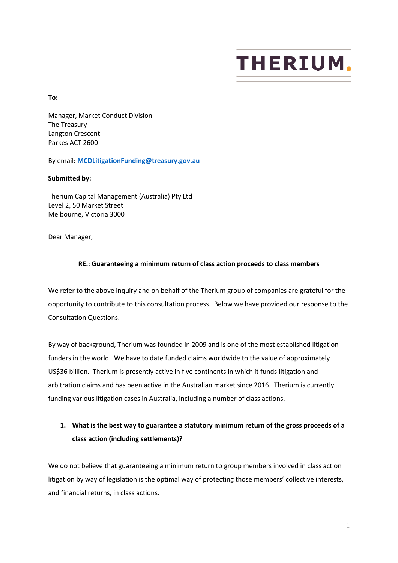# **THERIUM**

**To:**

Manager, Market Conduct Division The Treasury Langton Crescent Parkes ACT 2600

By email**[: MCDLitigationFunding@treasury.gov.au](mailto:MCDLitigationFunding@treasury.gov.au)**

#### **Submitted by:**

Therium Capital Management (Australia) Pty Ltd Level 2, 50 Market Street Melbourne, Victoria 3000

Dear Manager,

#### **RE.: Guaranteeing a minimum return of class action proceeds to class members**

We refer to the above inquiry and on behalf of the Therium group of companies are grateful for the opportunity to contribute to this consultation process. Below we have provided our response to the Consultation Questions.

By way of background, Therium was founded in 2009 and is one of the most established litigation funders in the world. We have to date funded claims worldwide to the value of approximately US\$36 billion. Therium is presently active in five continents in which it funds litigation and arbitration claims and has been active in the Australian market since 2016. Therium is currently funding various litigation cases in Australia, including a number of class actions.

## **1. What is the best way to guarantee a statutory minimum return of the gross proceeds of a class action (including settlements)?**

We do not believe that guaranteeing a minimum return to group members involved in class action litigation by way of legislation is the optimal way of protecting those members' collective interests, and financial returns, in class actions.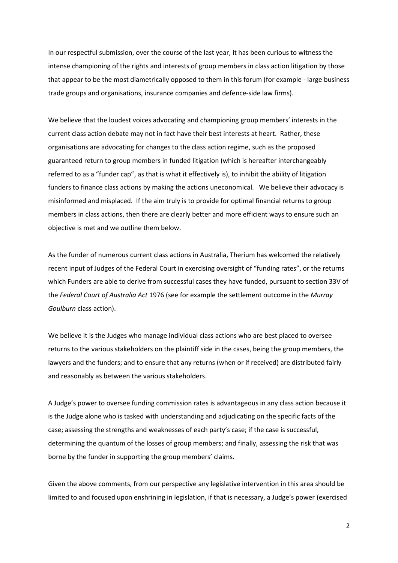In our respectful submission, over the course of the last year, it has been curious to witness the intense championing of the rights and interests of group members in class action litigation by those that appear to be the most diametrically opposed to them in this forum (for example - large business trade groups and organisations, insurance companies and defence-side law firms).

We believe that the loudest voices advocating and championing group members' interests in the current class action debate may not in fact have their best interests at heart. Rather, these organisations are advocating for changes to the class action regime, such as the proposed guaranteed return to group members in funded litigation (which is hereafter interchangeably referred to as a "funder cap", as that is what it effectively is), to inhibit the ability of litigation funders to finance class actions by making the actions uneconomical. We believe their advocacy is misinformed and misplaced. If the aim truly is to provide for optimal financial returns to group members in class actions, then there are clearly better and more efficient ways to ensure such an objective is met and we outline them below.

As the funder of numerous current class actions in Australia, Therium has welcomed the relatively recent input of Judges of the Federal Court in exercising oversight of "funding rates", or the returns which Funders are able to derive from successful cases they have funded, pursuant to section 33V of the *Federal Court of Australia Act* 1976 (see for example the settlement outcome in the *Murray Goulburn* class action).

We believe it is the Judges who manage individual class actions who are best placed to oversee returns to the various stakeholders on the plaintiff side in the cases, being the group members, the lawyers and the funders; and to ensure that any returns (when or if received) are distributed fairly and reasonably as between the various stakeholders.

A Judge's power to oversee funding commission rates is advantageous in any class action because it is the Judge alone who is tasked with understanding and adjudicating on the specific facts of the case; assessing the strengths and weaknesses of each party's case; if the case is successful, determining the quantum of the losses of group members; and finally, assessing the risk that was borne by the funder in supporting the group members' claims.

Given the above comments, from our perspective any legislative intervention in this area should be limited to and focused upon enshrining in legislation, if that is necessary, a Judge's power (exercised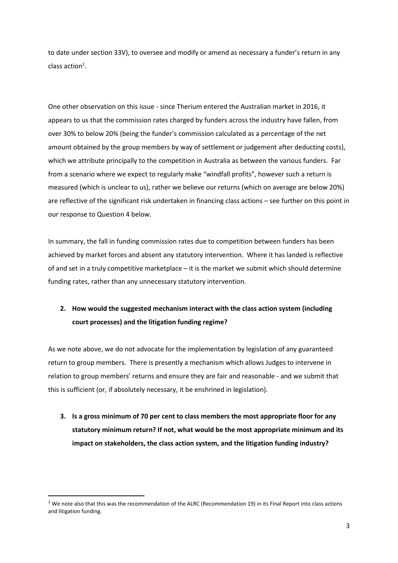to date under section 33V), to oversee and modify or amend as necessary a funder's return in any class action<sup>1</sup>.

One other observation on this issue - since Therium entered the Australian market in 2016, it appears to us that the commission rates charged by funders across the industry have fallen, from over 30% to below 20% (being the funder's commission calculated as a percentage of the net amount obtained by the group members by way of settlement or judgement after deducting costs), which we attribute principally to the competition in Australia as between the various funders. Far from a scenario where we expect to regularly make "windfall profits", however such a return is measured (which is unclear to us), rather we believe our returns (which on average are below 20%) are reflective of the significant risk undertaken in financing class actions – see further on this point in our response to Question 4 below.

In summary, the fall in funding commission rates due to competition between funders has been achieved by market forces and absent any statutory intervention. Where it has landed is reflective of and set in a truly competitive marketplace – it is the market we submit which should determine funding rates, rather than any unnecessary statutory intervention.

## **2. How would the suggested mechanism interact with the class action system (including court processes) and the litigation funding regime?**

As we note above, we do not advocate for the implementation by legislation of any guaranteed return to group members. There is presently a mechanism which allows Judges to intervene in relation to group members' returns and ensure they are fair and reasonable - and we submit that this is sufficient (or, if absolutely necessary, it be enshrined in legislation).

**3. Is a gross minimum of 70 per cent to class members the most appropriate floor for any statutory minimum return? If not, what would be the most appropriate minimum and its impact on stakeholders, the class action system, and the litigation funding industry?**

 $1$  We note also that this was the recommendation of the ALRC (Recommendation 19) in its Final Report into class actions and litigation funding.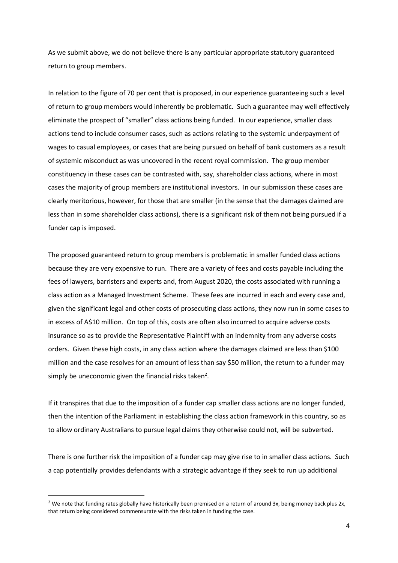As we submit above, we do not believe there is any particular appropriate statutory guaranteed return to group members.

In relation to the figure of 70 per cent that is proposed, in our experience guaranteeing such a level of return to group members would inherently be problematic. Such a guarantee may well effectively eliminate the prospect of "smaller" class actions being funded. In our experience, smaller class actions tend to include consumer cases, such as actions relating to the systemic underpayment of wages to casual employees, or cases that are being pursued on behalf of bank customers as a result of systemic misconduct as was uncovered in the recent royal commission. The group member constituency in these cases can be contrasted with, say, shareholder class actions, where in most cases the majority of group members are institutional investors. In our submission these cases are clearly meritorious, however, for those that are smaller (in the sense that the damages claimed are less than in some shareholder class actions), there is a significant risk of them not being pursued if a funder cap is imposed.

The proposed guaranteed return to group members is problematic in smaller funded class actions because they are very expensive to run. There are a variety of fees and costs payable including the fees of lawyers, barristers and experts and, from August 2020, the costs associated with running a class action as a Managed Investment Scheme. These fees are incurred in each and every case and, given the significant legal and other costs of prosecuting class actions, they now run in some cases to in excess of A\$10 million. On top of this, costs are often also incurred to acquire adverse costs insurance so as to provide the Representative Plaintiff with an indemnity from any adverse costs orders. Given these high costs, in any class action where the damages claimed are less than \$100 million and the case resolves for an amount of less than say \$50 million, the return to a funder may simply be uneconomic given the financial risks taken<sup>2</sup>.

If it transpires that due to the imposition of a funder cap smaller class actions are no longer funded, then the intention of the Parliament in establishing the class action framework in this country, so as to allow ordinary Australians to pursue legal claims they otherwise could not, will be subverted.

There is one further risk the imposition of a funder cap may give rise to in smaller class actions. Such a cap potentially provides defendants with a strategic advantage if they seek to run up additional

 $2$  We note that funding rates globally have historically been premised on a return of around 3x, being money back plus 2x, that return being considered commensurate with the risks taken in funding the case.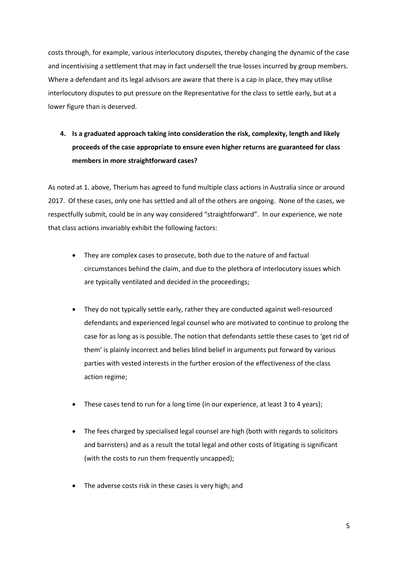costs through, for example, various interlocutory disputes, thereby changing the dynamic of the case and incentivising a settlement that may in fact undersell the true losses incurred by group members. Where a defendant and its legal advisors are aware that there is a cap in place, they may utilise interlocutory disputes to put pressure on the Representative for the class to settle early, but at a lower figure than is deserved.

## **4. Is a graduated approach taking into consideration the risk, complexity, length and likely proceeds of the case appropriate to ensure even higher returns are guaranteed for class members in more straightforward cases?**

As noted at 1. above, Therium has agreed to fund multiple class actions in Australia since or around 2017. Of these cases, only one has settled and all of the others are ongoing. None of the cases, we respectfully submit, could be in any way considered "straightforward". In our experience, we note that class actions invariably exhibit the following factors:

- They are complex cases to prosecute, both due to the nature of and factual circumstances behind the claim, and due to the plethora of interlocutory issues which are typically ventilated and decided in the proceedings;
- They do not typically settle early, rather they are conducted against well-resourced defendants and experienced legal counsel who are motivated to continue to prolong the case for as long as is possible. The notion that defendants settle these cases to 'get rid of them' is plainly incorrect and belies blind belief in arguments put forward by various parties with vested interests in the further erosion of the effectiveness of the class action regime;
- These cases tend to run for a long time (in our experience, at least 3 to 4 years);
- The fees charged by specialised legal counsel are high (both with regards to solicitors and barristers) and as a result the total legal and other costs of litigating is significant (with the costs to run them frequently uncapped);
- The adverse costs risk in these cases is very high; and